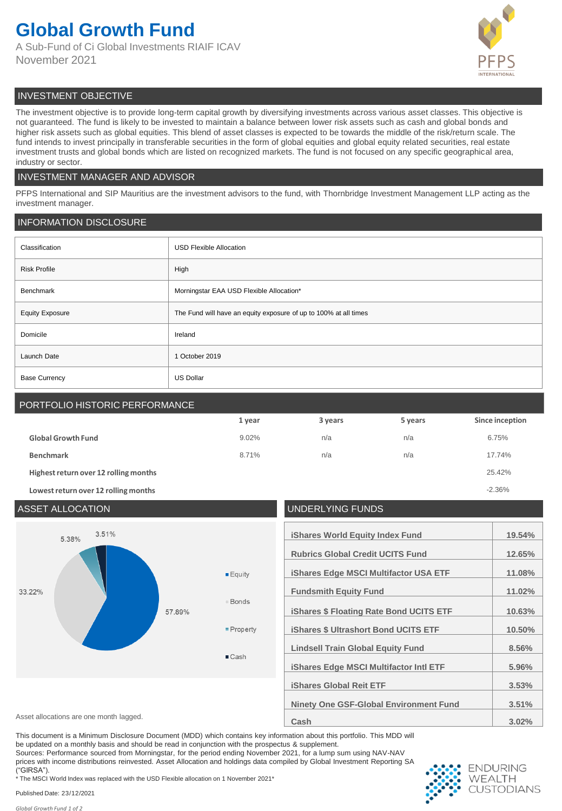# **Global Growth Fund**

A Sub-Fund of Ci Global Investments RIAIF ICAV November 2021



# INVESTMENT OBJECTIVE

The investment objective is to provide long-term capital growth by diversifying investments across various asset classes. This objective is not guaranteed. The fund is likely to be invested to maintain a balance between lower risk assets such as cash and global bonds and higher risk assets such as global equities. This blend of asset classes is expected to be towards the middle of the risk/return scale. The fund intends to invest principally in transferable securities in the form of global equities and global equity related securities, real estate investment trusts and global bonds which are listed on recognized markets. The fund is not focused on any specific geographical area, industry or sector.

## INVESTMENT MANAGER AND ADVISOR

PFPS International and SIP Mauritius are the investment advisors to the fund, with Thornbridge Investment Management LLP acting as the investment manager.

## INFORMATION DISCLOSURE

| Classification         | <b>USD Flexible Allocation</b>                                   |  |
|------------------------|------------------------------------------------------------------|--|
| <b>Risk Profile</b>    | High                                                             |  |
| Benchmark              | Morningstar EAA USD Flexible Allocation*                         |  |
| <b>Equity Exposure</b> | The Fund will have an equity exposure of up to 100% at all times |  |
| Domicile               | Ireland                                                          |  |
| Launch Date            | 1 October 2019                                                   |  |
| <b>Base Currency</b>   | <b>US Dollar</b>                                                 |  |

# PORTFOLIO HISTORIC PERFORMANCE

|                                       | 1 year | 3 years | 5 years | Since inception |
|---------------------------------------|--------|---------|---------|-----------------|
| <b>Global Growth Fund</b>             | 9.02%  | n/a     | n/a     | 6.75%           |
| <b>Benchmark</b>                      | 8.71%  | n/a     | n/a     | 17.74%          |
| Highest return over 12 rolling months |        |         |         | 25.42%          |
| Lowest return over 12 rolling months  |        |         |         | $-2.36%$        |

## ASSET ALLOCATION UNDERLYING FUNDS 3.51% **iShares World Equity Index Fund 19.54%** 5.38% **Rubrics Global Credit UCITS Fund 12.65% iShares Edge MSCI Multifactor USA ETF 11.08%**  $E$ guity 33 22% **Fundsmith Equity Fund 11.02% Bonds** 57.89% **iShares \$ Floating Rate Bond UCITS ETF 10.63%** Property **iShares \$ Ultrashort Bond UCITS ETF 10.50% Lindsell Train Global Equity Fund 8.56%** ■ Cash **iShares Edge MSCI Multifactor Intl ETF 5.96% iShares Global Reit ETF 3.53% Ninety One GSF-Global Environment Fund 3.51%** Asset allocations are one month lagged. **3.02% Cash Cash 3.02% 3.02%**

This document is a Minimum Disclosure Document (MDD) which contains key information about this portfolio. This MDD will be updated on a monthly basis and should be read in conjunction with the prospectus & supplement.

Sources: Performance sourced from Morningstar, for the period ending November 2021, for a lump sum using NAV-NAV prices with income distributions reinvested. Asset Allocation and holdings data compiled by Global Investment Reporting SA ("GIRSA"). \* The MSCI World Index was replaced with the USD Flexible allocation on 1 November 2021\*